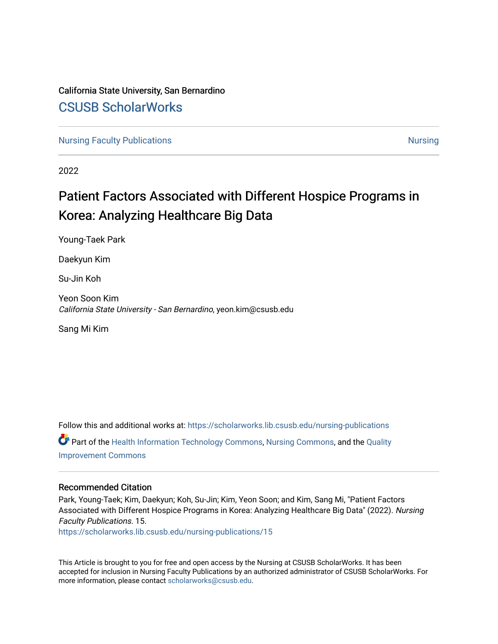# California State University, San Bernardino [CSUSB ScholarWorks](https://scholarworks.lib.csusb.edu/)

[Nursing Faculty Publications](https://scholarworks.lib.csusb.edu/nursing-publications) [Nursing](https://scholarworks.lib.csusb.edu/nursing) Nursing Nursing

2022

# Patient Factors Associated with Different Hospice Programs in Korea: Analyzing Healthcare Big Data

Young-Taek Park

Daekyun Kim

Su-Jin Koh

Yeon Soon Kim California State University - San Bernardino, yeon.kim@csusb.edu

Sang Mi Kim

Follow this and additional works at: [https://scholarworks.lib.csusb.edu/nursing-publications](https://scholarworks.lib.csusb.edu/nursing-publications?utm_source=scholarworks.lib.csusb.edu%2Fnursing-publications%2F15&utm_medium=PDF&utm_campaign=PDFCoverPages)  Part of the [Health Information Technology Commons,](http://network.bepress.com/hgg/discipline/1239?utm_source=scholarworks.lib.csusb.edu%2Fnursing-publications%2F15&utm_medium=PDF&utm_campaign=PDFCoverPages) [Nursing Commons,](http://network.bepress.com/hgg/discipline/718?utm_source=scholarworks.lib.csusb.edu%2Fnursing-publications%2F15&utm_medium=PDF&utm_campaign=PDFCoverPages) and the [Quality](http://network.bepress.com/hgg/discipline/1430?utm_source=scholarworks.lib.csusb.edu%2Fnursing-publications%2F15&utm_medium=PDF&utm_campaign=PDFCoverPages) [Improvement Commons](http://network.bepress.com/hgg/discipline/1430?utm_source=scholarworks.lib.csusb.edu%2Fnursing-publications%2F15&utm_medium=PDF&utm_campaign=PDFCoverPages) 

## Recommended Citation

Park, Young-Taek; Kim, Daekyun; Koh, Su-Jin; Kim, Yeon Soon; and Kim, Sang Mi, "Patient Factors Associated with Different Hospice Programs in Korea: Analyzing Healthcare Big Data" (2022). Nursing Faculty Publications. 15.

[https://scholarworks.lib.csusb.edu/nursing-publications/15](https://scholarworks.lib.csusb.edu/nursing-publications/15?utm_source=scholarworks.lib.csusb.edu%2Fnursing-publications%2F15&utm_medium=PDF&utm_campaign=PDFCoverPages)

This Article is brought to you for free and open access by the Nursing at CSUSB ScholarWorks. It has been accepted for inclusion in Nursing Faculty Publications by an authorized administrator of CSUSB ScholarWorks. For more information, please contact [scholarworks@csusb.edu.](mailto:scholarworks@csusb.edu)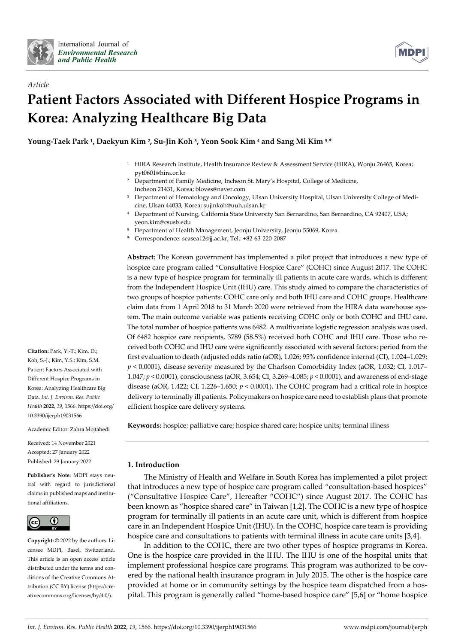



# *Article*  **Patient Factors Associated with Different Hospice Programs in Korea: Analyzing Healthcare Big Data**

**Young-Taek Park 1, Daekyun Kim 2, Su-Jin Koh 3, Yeon Sook Kim 4 and Sang Mi Kim 5,\*** 

- 1 HIRA Research Institute, Health Insurance Review & Assessment Service (HIRA), Wonju 26465, Korea; pyt0601@hira.or.kr
- 2 Department of Family Medicine, Incheon St. Mary's Hospital, College of Medicine, Incheon 21431, Korea; bloves@naver.com
- 3 Department of Hematology and Oncology, Ulsan University Hospital, Ulsan University College of Medicine, Ulsan 44033, Korea; sujinkoh@uuh.ulsan.kr
- 4 Department of Nursing, California State University San Bernardino, San Bernardino, CA 92407, USA; yeon.kim@csusb.edu
- 5 Department of Health Management, Jeonju University, Jeonju 55069, Korea
- **\*** Correspondence: seasea12@jj.ac.kr; Tel.: +82-63-220-2087

**Abstract:** The Korean government has implemented a pilot project that introduces a new type of hospice care program called "Consultative Hospice Care" (COHC) since August 2017. The COHC is a new type of hospice program for terminally ill patients in acute care wards, which is different from the Independent Hospice Unit (IHU) care. This study aimed to compare the characteristics of two groups of hospice patients: COHC care only and both IHU care and COHC groups. Healthcare claim data from 1 April 2018 to 31 March 2020 were retrieved from the HIRA data warehouse system. The main outcome variable was patients receiving COHC only or both COHC and IHU care. The total number of hospice patients was 6482. A multivariate logistic regression analysis was used. Of 6482 hospice care recipients, 3789 (58.5%) received both COHC and IHU care. Those who received both COHC and IHU care were significantly associated with several factors: period from the first evaluation to death (adjusted odds ratio (aOR), 1.026; 95% confidence internal (CI), 1.024–1.029; *p* < 0.0001), disease severity measured by the Charlson Comorbidity Index (aOR, 1.032; CI, 1.017– 1.047; *p* < 0.0001), consciousness (aOR, 3.654; CI, 3.269–4.085; *p* < 0.0001), and awareness of end-stage disease (aOR, 1.422; CI, 1.226–1.650; *p* < 0.0001). The COHC program had a critical role in hospice delivery to terminally ill patients. Policymakers on hospice care need to establish plans that promote efficient hospice care delivery systems.

**Keywords:** hospice; palliative care; hospice shared care; hospice units; terminal illness

### **1. Introduction**

The Ministry of Health and Welfare in South Korea has implemented a pilot project that introduces a new type of hospice care program called "consultation-based hospices" ("Consultative Hospice Care", Hereafter "COHC") since August 2017. The COHC has been known as "hospice shared care" in Taiwan [1,2]. The COHC is a new type of hospice program for terminally ill patients in an acute care unit, which is different from hospice care in an Independent Hospice Unit (IHU). In the COHC, hospice care team is providing hospice care and consultations to patients with terminal illness in acute care units [3,4].

In addition to the COHC, there are two other types of hospice programs in Korea. One is the hospice care provided in the IHU. The IHU is one of the hospital units that implement professional hospice care programs. This program was authorized to be covered by the national health insurance program in July 2015. The other is the hospice care provided at home or in community settings by the hospice team dispatched from a hospital. This program is generally called "home-based hospice care" [5,6] or "home hospice

**Citation:** Park, Y.-T.; Kim, D.; Koh, S.-J.; Kim, Y.S.; Kim, S.M. Patient Factors Associated with Different Hospice Programs in Korea: Analyzing Healthcare Big Data. *Int. J. Environ. Res. Public Health* **2022**, *19*, 1566. https://doi.org/ 10.3390/ijerph19031566

Academic Editor: Zahra Mojtahedi

Received: 14 November 2021 Accepted: 27 January 2022 Published: 29 January 2022

**Publisher's Note:** MDPI stays neutral with regard to jurisdictional claims in published maps and institutional affiliations.



**Copyright:** © 2022 by the authors. Licensee MDPI, Basel, Switzerland. This article is an open access article distributed under the terms and conditions of the Creative Commons Attribution (CC BY) license (https://creativecommons.org/licenses/by/4.0/).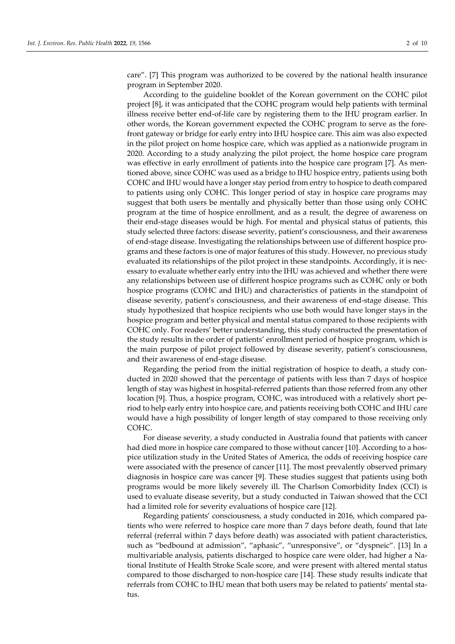care". [7] This program was authorized to be covered by the national health insurance program in September 2020.

According to the guideline booklet of the Korean government on the COHC pilot project [8], it was anticipated that the COHC program would help patients with terminal illness receive better end-of-life care by registering them to the IHU program earlier. In other words, the Korean government expected the COHC program to serve as the forefront gateway or bridge for early entry into IHU hospice care. This aim was also expected in the pilot project on home hospice care, which was applied as a nationwide program in 2020. According to a study analyzing the pilot project, the home hospice care program was effective in early enrollment of patients into the hospice care program [7]. As mentioned above, since COHC was used as a bridge to IHU hospice entry, patients using both COHC and IHU would have a longer stay period from entry to hospice to death compared to patients using only COHC. This longer period of stay in hospice care programs may suggest that both users be mentally and physically better than those using only COHC program at the time of hospice enrollment, and as a result, the degree of awareness on their end-stage diseases would be high. For mental and physical status of patients, this study selected three factors: disease severity, patient's consciousness, and their awareness of end-stage disease. Investigating the relationships between use of different hospice programs and these factors is one of major features of this study. However, no previous study evaluated its relationships of the pilot project in these standpoints. Accordingly, it is necessary to evaluate whether early entry into the IHU was achieved and whether there were any relationships between use of different hospice programs such as COHC only or both hospice programs (COHC and IHU) and characteristics of patients in the standpoint of disease severity, patient's consciousness, and their awareness of end-stage disease. This study hypothesized that hospice recipients who use both would have longer stays in the hospice program and better physical and mental status compared to those recipients with COHC only. For readers' better understanding, this study constructed the presentation of the study results in the order of patients' enrollment period of hospice program, which is the main purpose of pilot project followed by disease severity, patient's consciousness, and their awareness of end-stage disease.

Regarding the period from the initial registration of hospice to death, a study conducted in 2020 showed that the percentage of patients with less than 7 days of hospice length of stay was highest in hospital-referred patients than those referred from any other location [9]. Thus, a hospice program, COHC, was introduced with a relatively short period to help early entry into hospice care, and patients receiving both COHC and IHU care would have a high possibility of longer length of stay compared to those receiving only COHC.

For disease severity, a study conducted in Australia found that patients with cancer had died more in hospice care compared to those without cancer [10]. According to a hospice utilization study in the United States of America, the odds of receiving hospice care were associated with the presence of cancer [11]. The most prevalently observed primary diagnosis in hospice care was cancer [9]. These studies suggest that patients using both programs would be more likely severely ill. The Charlson Comorbidity Index (CCI) is used to evaluate disease severity, but a study conducted in Taiwan showed that the CCI had a limited role for severity evaluations of hospice care [12].

Regarding patients' consciousness, a study conducted in 2016, which compared patients who were referred to hospice care more than 7 days before death, found that late referral (referral within 7 days before death) was associated with patient characteristics, such as "bedbound at admission", "aphasic", "unresponsive", or "dyspneic". [13] In a multivariable analysis, patients discharged to hospice care were older, had higher a National Institute of Health Stroke Scale score, and were present with altered mental status compared to those discharged to non-hospice care [14]. These study results indicate that referrals from COHC to IHU mean that both users may be related to patients' mental status.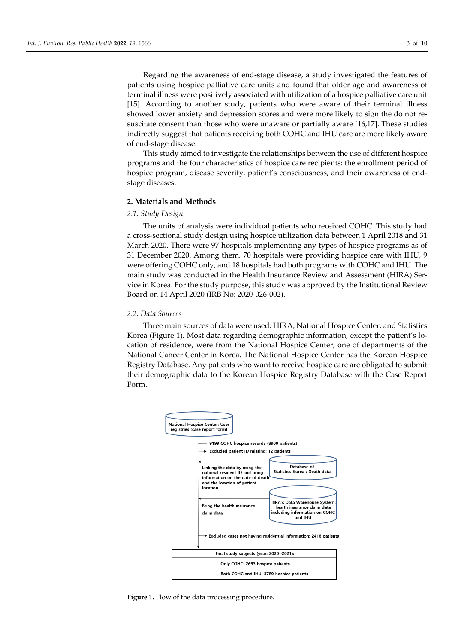Regarding the awareness of end-stage disease, a study investigated the features of patients using hospice palliative care units and found that older age and awareness of terminal illness were positively associated with utilization of a hospice palliative care unit [15]. According to another study, patients who were aware of their terminal illness showed lower anxiety and depression scores and were more likely to sign the do not resuscitate consent than those who were unaware or partially aware [16,17]. These studies indirectly suggest that patients receiving both COHC and IHU care are more likely aware of end-stage disease.

This study aimed to investigate the relationships between the use of different hospice programs and the four characteristics of hospice care recipients: the enrollment period of hospice program, disease severity, patient's consciousness, and their awareness of endstage diseases.

#### **2. Materials and Methods**

#### *2.1. Study Design*

The units of analysis were individual patients who received COHC. This study had a cross-sectional study design using hospice utilization data between 1 April 2018 and 31 March 2020. There were 97 hospitals implementing any types of hospice programs as of 31 December 2020. Among them, 70 hospitals were providing hospice care with IHU, 9 were offering COHC only, and 18 hospitals had both programs with COHC and IHU. The main study was conducted in the Health Insurance Review and Assessment (HIRA) Service in Korea. For the study purpose, this study was approved by the Institutional Review Board on 14 April 2020 (IRB No: 2020-026-002).

### *2.2. Data Sources*

Three main sources of data were used: HIRA, National Hospice Center, and Statistics Korea (Figure 1). Most data regarding demographic information, except the patient's location of residence, were from the National Hospice Center, one of departments of the National Cancer Center in Korea. The National Hospice Center has the Korean Hospice Registry Database. Any patients who want to receive hospice care are obligated to submit their demographic data to the Korean Hospice Registry Database with the Case Report Form.



Figure 1. Flow of the data processing procedure.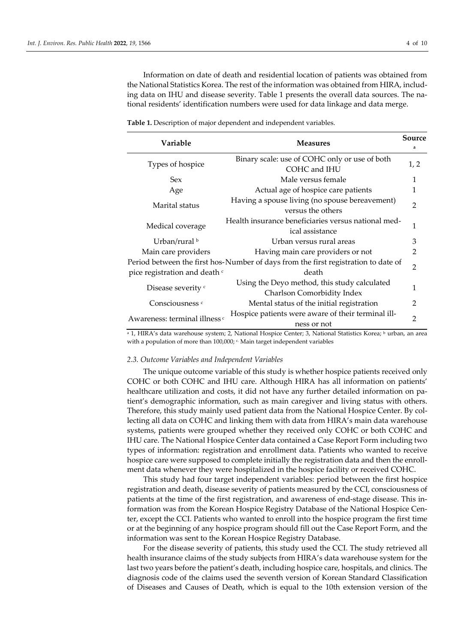Information on date of death and residential location of patients was obtained from the National Statistics Korea. The rest of the information was obtained from HIRA, including data on IHU and disease severity. Table 1 presents the overall data sources. The national residents' identification numbers were used for data linkage and data merge.

| Variable                                 | <b>Measures</b>                                                                             | Source<br>a    |
|------------------------------------------|---------------------------------------------------------------------------------------------|----------------|
| Types of hospice                         | Binary scale: use of COHC only or use of both<br>COHC and IHU                               | 1, 2           |
| <b>Sex</b>                               | Male versus female                                                                          | 1              |
| Age                                      | Actual age of hospice care patients                                                         | 1              |
| Marital status                           | Having a spouse living (no spouse bereavement)<br>versus the others                         | $\overline{2}$ |
| Medical coverage                         | Health insurance beneficiaries versus national med-<br>ical assistance                      | 1              |
| Urban/rural b                            | Urban versus rural areas                                                                    | 3              |
| Main care providers                      | Having main care providers or not                                                           | 2              |
| pice registration and death c            | Period between the first hos-Number of days from the first registration to date of<br>death | $\overline{2}$ |
| Disease severity c                       | Using the Deyo method, this study calculated<br>Charlson Comorbidity Index                  | 1              |
| Consciousness <sup>c</sup>               | Mental status of the initial registration                                                   | $\mathfrak{D}$ |
| Awareness: terminal illness <sup>c</sup> | Hospice patients were aware of their terminal ill-<br>ness or not                           | $\overline{2}$ |

**Table 1.** Description of major dependent and independent variables.

<sup>a</sup> 1, HIRA's data warehouse system; 2, National Hospice Center; 3, National Statistics Korea; <sup>b</sup> urban, an area with a population of more than  $100,000$ ;  $\epsilon$  Main target independent variables

#### *2.3. Outcome Variables and Independent Variables*

The unique outcome variable of this study is whether hospice patients received only COHC or both COHC and IHU care. Although HIRA has all information on patients' healthcare utilization and costs, it did not have any further detailed information on patient's demographic information, such as main caregiver and living status with others. Therefore, this study mainly used patient data from the National Hospice Center. By collecting all data on COHC and linking them with data from HIRA's main data warehouse systems, patients were grouped whether they received only COHC or both COHC and IHU care. The National Hospice Center data contained a Case Report Form including two types of information: registration and enrollment data. Patients who wanted to receive hospice care were supposed to complete initially the registration data and then the enrollment data whenever they were hospitalized in the hospice facility or received COHC.

This study had four target independent variables: period between the first hospice registration and death, disease severity of patients measured by the CCI, consciousness of patients at the time of the first registration, and awareness of end-stage disease. This information was from the Korean Hospice Registry Database of the National Hospice Center, except the CCI. Patients who wanted to enroll into the hospice program the first time or at the beginning of any hospice program should fill out the Case Report Form, and the information was sent to the Korean Hospice Registry Database.

For the disease severity of patients, this study used the CCI. The study retrieved all health insurance claims of the study subjects from HIRA's data warehouse system for the last two years before the patient's death, including hospice care, hospitals, and clinics. The diagnosis code of the claims used the seventh version of Korean Standard Classification of Diseases and Causes of Death, which is equal to the 10th extension version of the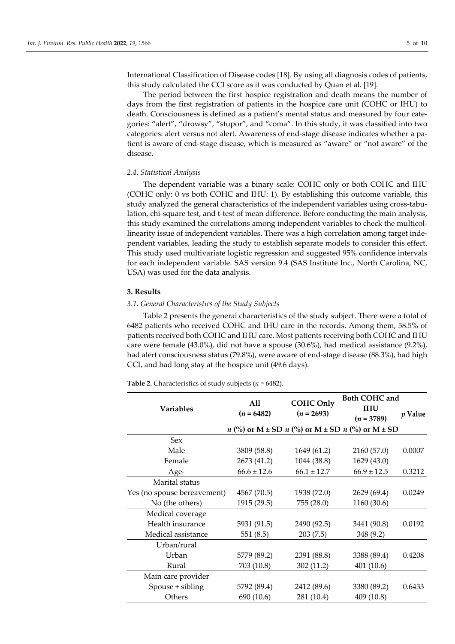International Classification of Disease codes [18]. By using all diagnosis codes of patients, this study calculated the CCI score as it was conducted by Quan et al. [19].

The period between the first hospice registration and death means the number of days from the first registration of patients in the hospice care unit (COHC or IHU) to death. Consciousness is defined as a patient's mental status and measured by four categories: "alert", "drowsy", "stupor", and "coma". In this study, it was classified into two categories: alert versus not alert. Awareness of end-stage disease indicates whether a patient is aware of end-stage disease, which is measured as "aware" or "not aware" of the disease.

#### *2.4. Statistical Analysis*

The dependent variable was a binary scale: COHC only or both COHC and IHU (COHC only: 0 vs both COHC and IHU: 1). By establishing this outcome variable, this study analyzed the general characteristics of the independent variables using cross-tabulation, chi-square test, and t-test of mean difference. Before conducting the main analysis, this study examined the correlations among independent variables to check the multicollinearity issue of independent variables. There was a high correlation among target independent variables, leading the study to establish separate models to consider this effect. This study used multivariate logistic regression and suggested 95% confidence intervals for each independent variable. SAS version 9.4 (SAS Institute Inc., North Carolina, NC, USA) was used for the data analysis.

#### **3. Results**

#### *3.1. General Characteristics of the Study Subjects*

Table 2 presents the general characteristics of the study subject. There were a total of 6482 patients who received COHC and IHU care in the records. Among them, 58.5% of patients received both COHC and IHU care. Most patients receiving both COHC and IHU care were female (43.0%), did not have a spouse (30.6%), had medical assistance (9.2%), had alert consciousness status (79.8%), were aware of end-stage disease (88.3%), had high CCI, and had long stay at the hospice unit (49.6 days).

**Table 2.** Characteristics of study subjects (*n* = 6482).

|                             | <b>COHC Only</b><br>All |                 | <b>Both COHC and</b>                                              |         |
|-----------------------------|-------------------------|-----------------|-------------------------------------------------------------------|---------|
| <b>Variables</b>            | $(n = 6482)$            | $(n = 2693)$    | <b>IHU</b>                                                        |         |
|                             |                         |                 | $(n = 3789)$                                                      | p Value |
|                             |                         |                 | $n$ (%) or M $\pm$ SD $n$ (%) or M $\pm$ SD $n$ (%) or M $\pm$ SD |         |
| <b>Sex</b>                  |                         |                 |                                                                   |         |
| Male                        | 3809 (58.8)             | 1649 (61.2)     | 2160 (57.0)                                                       | 0.0007  |
| Female                      | 2673 (41.2)             | 1044 (38.8)     | 1629 (43.0)                                                       |         |
| Age-                        | $66.6 \pm 12.6$         | $66.1 \pm 12.7$ | $66.9 \pm 12.5$                                                   | 0.3212  |
| Marital status              |                         |                 |                                                                   |         |
| Yes (no spouse bereavement) | 4567 (70.5)             | 1938 (72.0)     | 2629 (69.4)                                                       | 0.0249  |
| No (the others)             | 1915 (29.5)             | 755 (28.0)      | 1160 (30.6)                                                       |         |
| Medical coverage            |                         |                 |                                                                   |         |
| Health insurance            | 5931 (91.5)             | 2490 (92.5)     | 3441 (90.8)                                                       | 0.0192  |
| Medical assistance          | 551 (8.5)               | 203(7.5)        | 348 (9.2)                                                         |         |
| Urban/rural                 |                         |                 |                                                                   |         |
| Urban                       | 5779 (89.2)             | 2391 (88.8)     | 3388 (89.4)                                                       | 0.4208  |
| Rural                       | 703 (10.8)              | 302(11.2)       | 401 (10.6)                                                        |         |
| Main care provider          |                         |                 |                                                                   |         |
| Spouse + sibling            | 5792 (89.4)             | 2412 (89.6)     | 3380 (89.2)                                                       | 0.6433  |
| Others                      | 690 (10.6)              | 281 (10.4)      | 409 (10.8)                                                        |         |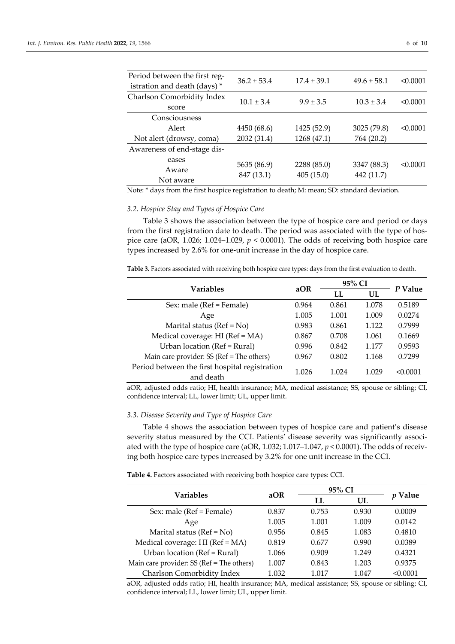| Period between the first reg-<br>istration and death (days)* | $36.2 \pm 53.4$ | $17.4 \pm 39.1$ | $49.6 \pm 58.1$ | < 0.0001 |
|--------------------------------------------------------------|-----------------|-----------------|-----------------|----------|
| Charlson Comorbidity Index<br>score                          | $10.1 \pm 3.4$  | $9.9 \pm 3.5$   | $10.3 \pm 3.4$  | < 0.0001 |
| Consciousness                                                |                 |                 |                 |          |
| Alert                                                        | 4450 (68.6)     | 1425 (52.9)     | 3025 (79.8)     | < 0.0001 |
| Not alert (drowsy, coma)                                     | 2032 (31.4)     | 1268 (47.1)     | 764 (20.2)      |          |
| Awareness of end-stage dis-                                  |                 |                 |                 |          |
| eases                                                        | 5635 (86.9)     | 2288 (85.0)     | 3347 (88.3)     | < 0.0001 |
| Aware                                                        | 847 (13.1)      | 405(15.0)       | 442 (11.7)      |          |
| Not aware                                                    |                 |                 |                 |          |

Note: \* days from the first hospice registration to death; M: mean; SD: standard deviation.

#### *3.2. Hospice Stay and Types of Hospice Care*

Table 3 shows the association between the type of hospice care and period or days from the first registration date to death. The period was associated with the type of hospice care (aOR, 1.026; 1.024–1.029, *p* < 0.0001). The odds of receiving both hospice care types increased by 2.6% for one-unit increase in the day of hospice care.

**Table 3.** Factors associated with receiving both hospice care types: days from the first evaluation to death.

| <b>Variables</b>                               | aOR   | 95% CI |       | P Value  |
|------------------------------------------------|-------|--------|-------|----------|
|                                                |       | LL     | UL    |          |
| Sex: male (Ref = Female)                       | 0.964 | 0.861  | 1.078 | 0.5189   |
| Age                                            | 1.005 | 1.001  | 1.009 | 0.0274   |
| Marital status ( $Ref = No$ )                  | 0.983 | 0.861  | 1.122 | 0.7999   |
| Medical coverage: HI (Ref = MA)                | 0.867 | 0.708  | 1.061 | 0.1669   |
| Urban location (Ref = Rural)                   | 0.996 | 0.842  | 1.177 | 0.9593   |
| Main care provider: SS (Ref = The others)      | 0.967 | 0.802  | 1.168 | 0.7299   |
| Period between the first hospital registration | 1.026 | 1.024  | 1 029 | < 0.0001 |
| and death                                      |       |        |       |          |

aOR, adjusted odds ratio; HI, health insurance; MA, medical assistance; SS, spouse or sibling; CI, confidence interval; LL, lower limit; UL, upper limit.

#### *3.3. Disease Severity and Type of Hospice Care*

Table 4 shows the association between types of hospice care and patient's disease severity status measured by the CCI. Patients' disease severity was significantly associated with the type of hospice care (aOR, 1.032; 1.017–1.047, *p* < 0.0001). The odds of receiving both hospice care types increased by 3.2% for one unit increase in the CCI.

**Table 4.** Factors associated with receiving both hospice care types: CCI.

| Variables                                 | aOR   | 95% CI |       |          |
|-------------------------------------------|-------|--------|-------|----------|
|                                           |       | LL     | UL    | Value    |
| Sex: male (Ref = Female)                  | 0.837 | 0.753  | 0.930 | 0.0009   |
| Age                                       | 1.005 | 1.001  | 1.009 | 0.0142   |
| Marital status ( $Ref = No$ )             | 0.956 | 0.845  | 1.083 | 0.4810   |
| Medical coverage: HI (Ref = MA)           | 0.819 | 0.677  | 0.990 | 0.0389   |
| Urban location (Ref = Rural)              | 1.066 | 0.909  | 1.249 | 0.4321   |
| Main care provider: SS (Ref = The others) | 1.007 | 0.843  | 1.203 | 0.9375   |
| Charlson Comorbidity Index                | 1.032 | 1 017  | 1.047 | < 0.0001 |

aOR, adjusted odds ratio; HI, health insurance; MA, medical assistance; SS, spouse or sibling; CI, confidence interval; LL, lower limit; UL, upper limit.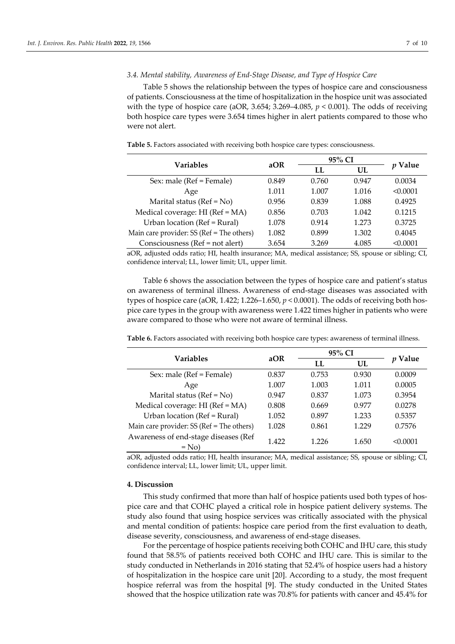#### *3.4. Mental stability, Awareness of End-Stage Disease, and Type of Hospice Care*

Table 5 shows the relationship between the types of hospice care and consciousness of patients. Consciousness at the time of hospitalization in the hospice unit was associated with the type of hospice care (aOR,  $3.654$ ;  $3.269 - 4.085$ ,  $p < 0.001$ ). The odds of receiving both hospice care types were 3.654 times higher in alert patients compared to those who were not alert.

|  | Table 5. Factors associated with receiving both hospice care types: consciousness. |
|--|------------------------------------------------------------------------------------|
|  |                                                                                    |

| Variables                                 | aOR   | 95% CI | Value |          |
|-------------------------------------------|-------|--------|-------|----------|
|                                           |       | LL     | UL    |          |
| Sex: male (Ref = Female)                  | 0.849 | 0.760  | 0.947 | 0.0034   |
| Age                                       | 1.011 | 1.007  | 1.016 | < 0.0001 |
| Marital status ( $Ref = No$ )             | 0.956 | 0.839  | 1.088 | 0.4925   |
| Medical coverage: HI (Ref = MA)           | 0.856 | 0.703  | 1.042 | 0.1215   |
| Urban location (Ref = Rural)              | 1.078 | 0.914  | 1.273 | 0.3725   |
| Main care provider: SS (Ref = The others) | 1.082 | 0.899  | 1.302 | 0.4045   |
| Consciousness (Ref = not alert)           | 3.654 | 3.269  | 4.085 | < 0.0001 |

aOR, adjusted odds ratio; HI, health insurance; MA, medical assistance; SS, spouse or sibling; CI, confidence interval; LL, lower limit; UL, upper limit.

Table 6 shows the association between the types of hospice care and patient's status on awareness of terminal illness. Awareness of end-stage diseases was associated with types of hospice care (aOR, 1.422; 1.226–1.650, *p* < 0.0001). The odds of receiving both hospice care types in the group with awareness were 1.422 times higher in patients who were aware compared to those who were not aware of terminal illness.

| Variables                                       | aOR   |       | 95% CI |                |
|-------------------------------------------------|-------|-------|--------|----------------|
|                                                 |       | LL    | UL     | <i>p</i> Value |
| Sex: male (Ref = Female)                        | 0.837 | 0.753 | 0.930  | 0.0009         |
| Age                                             | 1.007 | 1.003 | 1.011  | 0.0005         |
| Marital status ( $Ref = No$ )                   | 0.947 | 0.837 | 1.073  | 0.3954         |
| Medical coverage: HI (Ref = MA)                 | 0.808 | 0.669 | 0.977  | 0.0278         |
| Urban location (Ref = Rural)                    | 1.052 | 0.897 | 1.233  | 0.5357         |
| Main care provider: SS (Ref = The others)       | 1.028 | 0.861 | 1.229  | 0.7576         |
| Awareness of end-stage diseases (Ref<br>$=$ No) | 1.422 | 1.226 | 1.650  | < 0.0001       |

**Table 6.** Factors associated with receiving both hospice care types: awareness of terminal illness.

aOR, adjusted odds ratio; HI, health insurance; MA, medical assistance; SS, spouse or sibling; CI, confidence interval; LL, lower limit; UL, upper limit.

#### **4. Discussion**

This study confirmed that more than half of hospice patients used both types of hospice care and that COHC played a critical role in hospice patient delivery systems. The study also found that using hospice services was critically associated with the physical and mental condition of patients: hospice care period from the first evaluation to death, disease severity, consciousness, and awareness of end-stage diseases.

For the percentage of hospice patients receiving both COHC and IHU care, this study found that 58.5% of patients received both COHC and IHU care. This is similar to the study conducted in Netherlands in 2016 stating that 52.4% of hospice users had a history of hospitalization in the hospice care unit [20]. According to a study, the most frequent hospice referral was from the hospital [9]. The study conducted in the United States showed that the hospice utilization rate was 70.8% for patients with cancer and 45.4% for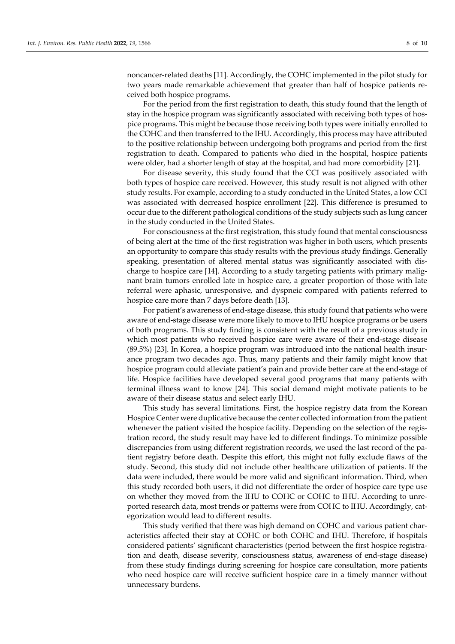noncancer-related deaths [11]. Accordingly, the COHC implemented in the pilot study for two years made remarkable achievement that greater than half of hospice patients received both hospice programs.

For the period from the first registration to death, this study found that the length of stay in the hospice program was significantly associated with receiving both types of hospice programs. This might be because those receiving both types were initially enrolled to the COHC and then transferred to the IHU. Accordingly, this process may have attributed to the positive relationship between undergoing both programs and period from the first registration to death. Compared to patients who died in the hospital, hospice patients were older, had a shorter length of stay at the hospital, and had more comorbidity [21].

For disease severity, this study found that the CCI was positively associated with both types of hospice care received. However, this study result is not aligned with other study results. For example, according to a study conducted in the United States, a low CCI was associated with decreased hospice enrollment [22]. This difference is presumed to occur due to the different pathological conditions of the study subjects such as lung cancer in the study conducted in the United States.

For consciousness at the first registration, this study found that mental consciousness of being alert at the time of the first registration was higher in both users, which presents an opportunity to compare this study results with the previous study findings. Generally speaking, presentation of altered mental status was significantly associated with discharge to hospice care [14]. According to a study targeting patients with primary malignant brain tumors enrolled late in hospice care, a greater proportion of those with late referral were aphasic, unresponsive, and dyspneic compared with patients referred to hospice care more than 7 days before death [13].

For patient's awareness of end-stage disease, this study found that patients who were aware of end-stage disease were more likely to move to IHU hospice programs or be users of both programs. This study finding is consistent with the result of a previous study in which most patients who received hospice care were aware of their end-stage disease (89.5%) [23]. In Korea, a hospice program was introduced into the national health insurance program two decades ago. Thus, many patients and their family might know that hospice program could alleviate patient's pain and provide better care at the end-stage of life. Hospice facilities have developed several good programs that many patients with terminal illness want to know [24]. This social demand might motivate patients to be aware of their disease status and select early IHU.

This study has several limitations. First, the hospice registry data from the Korean Hospice Center were duplicative because the center collected information from the patient whenever the patient visited the hospice facility. Depending on the selection of the registration record, the study result may have led to different findings. To minimize possible discrepancies from using different registration records, we used the last record of the patient registry before death. Despite this effort, this might not fully exclude flaws of the study. Second, this study did not include other healthcare utilization of patients. If the data were included, there would be more valid and significant information. Third, when this study recorded both users, it did not differentiate the order of hospice care type use on whether they moved from the IHU to COHC or COHC to IHU. According to unreported research data, most trends or patterns were from COHC to IHU. Accordingly, categorization would lead to different results.

This study verified that there was high demand on COHC and various patient characteristics affected their stay at COHC or both COHC and IHU. Therefore, if hospitals considered patients' significant characteristics (period between the first hospice registration and death, disease severity, consciousness status, awareness of end-stage disease) from these study findings during screening for hospice care consultation, more patients who need hospice care will receive sufficient hospice care in a timely manner without unnecessary burdens.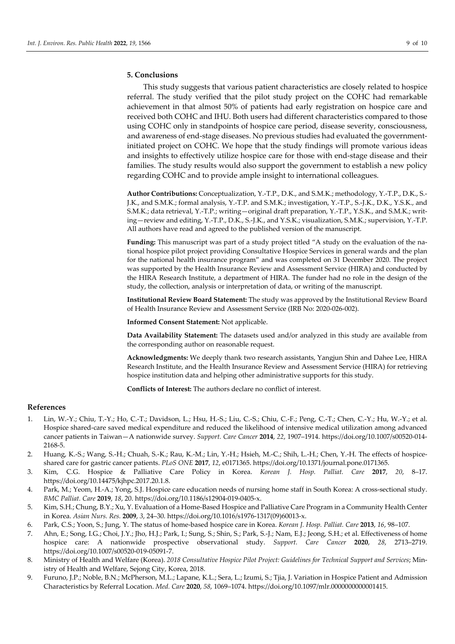#### **5. Conclusions**

This study suggests that various patient characteristics are closely related to hospice referral. The study verified that the pilot study project on the COHC had remarkable achievement in that almost 50% of patients had early registration on hospice care and received both COHC and IHU. Both users had different characteristics compared to those using COHC only in standpoints of hospice care period, disease severity, consciousness, and awareness of end-stage diseases. No previous studies had evaluated the governmentinitiated project on COHC. We hope that the study findings will promote various ideas and insights to effectively utilize hospice care for those with end-stage disease and their families. The study results would also support the government to establish a new policy regarding COHC and to provide ample insight to international colleagues.

**Author Contributions:** Conceptualization, Y.-T.P., D.K., and S.M.K.; methodology, Y.-T.P., D.K., S.- J.K., and S.M.K.; formal analysis, Y.-T.P. and S.M.K.; investigation, Y.-T.P., S.-J.K., D.K., Y.S.K., and S.M.K.; data retrieval, Y.-T.P.; writing—original draft preparation, Y.-T.P., Y.S.K., and S.M.K.; writing—review and editing, Y.-T.P., D.K., S.-J.K., and Y.S.K.; visualization, S.M.K.; supervision, Y.-T.P. All authors have read and agreed to the published version of the manuscript.

**Funding:** This manuscript was part of a study project titled "A study on the evaluation of the national hospice pilot project providing Consultative Hospice Services in general wards and the plan for the national health insurance program" and was completed on 31 December 2020. The project was supported by the Health Insurance Review and Assessment Service (HIRA) and conducted by the HIRA Research Institute, a department of HIRA. The funder had no role in the design of the study, the collection, analysis or interpretation of data, or writing of the manuscript.

**Institutional Review Board Statement:** The study was approved by the Institutional Review Board of Health Insurance Review and Assessment Service (IRB No: 2020-026-002).

**Informed Consent Statement:** Not applicable.

**Data Availability Statement:** The datasets used and/or analyzed in this study are available from the corresponding author on reasonable request.

**Acknowledgments:** We deeply thank two research assistants, Yangjun Shin and Dahee Lee, HIRA Research Institute, and the Health Insurance Review and Assessment Service (HIRA) for retrieving hospice institution data and helping other administrative supports for this study.

**Conflicts of Interest:** The authors declare no conflict of interest.

#### **References**

- 1. Lin, W.-Y.; Chiu, T.-Y.; Ho, C.-T.; Davidson, L.; Hsu, H.-S.; Liu, C.-S.; Chiu, C.-F.; Peng, C.-T.; Chen, C.-Y.; Hu, W.-Y.; et al. Hospice shared-care saved medical expenditure and reduced the likelihood of intensive medical utilization among advanced cancer patients in Taiwan—A nationwide survey. *Support. Care Cancer* **2014**, *22*, 1907–1914. https://doi.org/10.1007/s00520-014- 2168-5.
- 2. Huang, K.-S.; Wang, S.-H.; Chuah, S.-K.; Rau, K.-M.; Lin, Y.-H.; Hsieh, M.-C.; Shih, L.-H.; Chen, Y.-H. The effects of hospiceshared care for gastric cancer patients. *PLoS ONE* **2017**, *12*, e0171365. https://doi.org/10.1371/journal.pone.0171365.
- 3. Kim, C.G. Hospice & Palliative Care Policy in Korea. *Korean J. Hosp. Palliat. Care* **2017**, *20*, 8–17. https://doi.org/10.14475/kjhpc.2017.20.1.8.
- 4. Park, M.; Yeom, H.-A.; Yong, S.J. Hospice care education needs of nursing home staff in South Korea: A cross-sectional study. *BMC Palliat. Care* **2019**, *18*, 20. https://doi.org/10.1186/s12904-019-0405-x.
- 5. Kim, S.H.; Chung, B.Y.; Xu, Y. Evaluation of a Home-Based Hospice and Palliative Care Program in a Community Health Center in Korea. *Asian Nurs. Res.* **2009**, *3*, 24–30. https://doi.org/10.1016/s1976-1317(09)60013-x.
- 6. Park, C.S.; Yoon, S.; Jung, Y. The status of home-based hospice care in Korea. *Korean J. Hosp. Palliat. Care* **2013**, *16*, 98–107.
- 7. Ahn, E.; Song, I.G.; Choi, J.Y.; Jho, H.J.; Park, I.; Sung, S.; Shin, S.; Park, S.-J.; Nam, E.J.; Jeong, S.H.; et al. Effectiveness of home hospice care: A nationwide prospective observational study. *Support. Care Cancer* **2020**, *28*, 2713–2719. https://doi.org/10.1007/s00520-019-05091-7.
- 8. Ministry of Health and Welfare (Korea). *2018 Consultative Hospice Pilot Project: Guidelines for Technical Support and Services*; Ministry of Health and Welfare, Sejong City, Korea, 2018.
- 9. Furuno, J.P.; Noble, B.N.; McPherson, M.L.; Lapane, K.L.; Sera, L.; Izumi, S.; Tjia, J. Variation in Hospice Patient and Admission Characteristics by Referral Location. *Med. Care* **2020**, *58*, 1069–1074. https://doi.org/10.1097/mlr.0000000000001415.